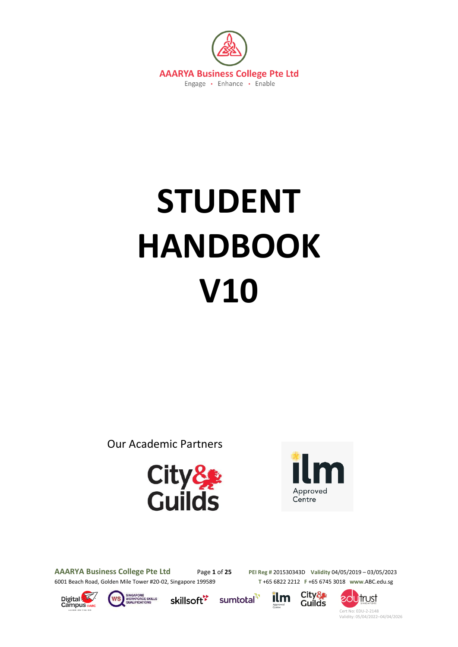

# **STUDENT HANDBOOK V10**

Our Academic Partners





**AAARYA Business College Pte Ltd** Page **1** of **25 PEI Reg #** 201530343D **Validity** 04/05/2019 – 03/05/2023 6001 Beach Road, Golden Mile Tower #20-02, Singapore 199589 **T** +65 6822 2212 **F** +65 6745 3018 **www**.ABC.edu.sg









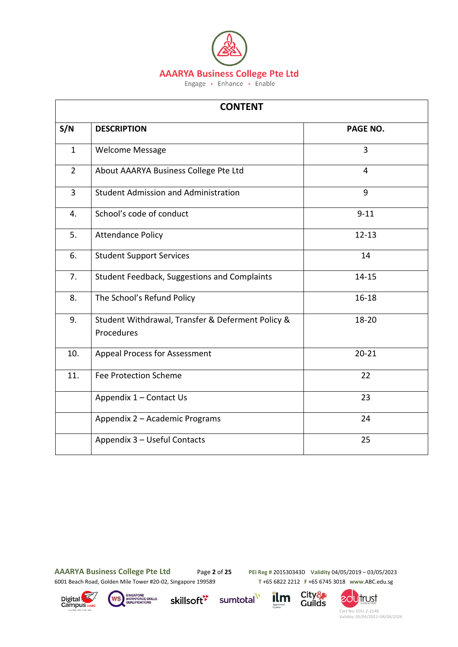

| <b>CONTENT</b> |                                                                 |                |  |  |
|----------------|-----------------------------------------------------------------|----------------|--|--|
| S/N            | <b>DESCRIPTION</b>                                              | PAGE NO.       |  |  |
| $\mathbf{1}$   | <b>Welcome Message</b>                                          | $\overline{3}$ |  |  |
| $2^{\circ}$    | About AAARYA Business College Pte Ltd                           | 4              |  |  |
| $\overline{3}$ | <b>Student Admission and Administration</b>                     | 9              |  |  |
| 4.             | School's code of conduct                                        | $9 - 11$       |  |  |
| 5.             | <b>Attendance Policy</b>                                        | $12 - 13$      |  |  |
| 6.             | <b>Student Support Services</b>                                 | 14             |  |  |
| 7.             | Student Feedback, Suggestions and Complaints                    | $14 - 15$      |  |  |
| 8.             | The School's Refund Policy                                      | $16 - 18$      |  |  |
| 9.             | Student Withdrawal, Transfer & Deferment Policy &<br>Procedures | 18-20          |  |  |
| 10.            | <b>Appeal Process for Assessment</b>                            | $20 - 21$      |  |  |
| 11.            | <b>Fee Protection Scheme</b>                                    | 22             |  |  |
|                | Appendix 1 - Contact Us                                         | 23             |  |  |
|                | Appendix 2 - Academic Programs                                  | 24             |  |  |
|                | Appendix 3 - Useful Contacts                                    | 25             |  |  |

sumtotal<sup>17</sup>

**AAARYA Business College Pte Ltd** Page **2** of **25 PEI Reg #** 201530343D **Validity** 04/05/2019 – 03/05/2023 6001 Beach Road, Golden Mile Tower #20-02, Singapore 199589 **T** +65 6822 2212 **F** +65 6745 3018 **www**.ABC.edu.sg







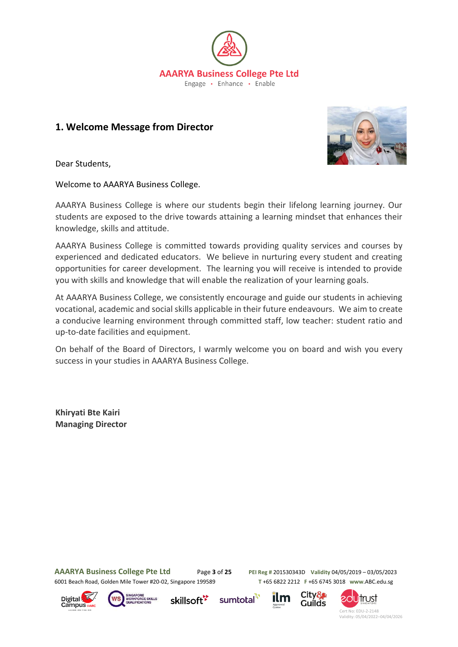

# **1. Welcome Message from Director**



Dear Students,

Welcome to AAARYA Business College.

AAARYA Business College is where our students begin their lifelong learning journey. Our students are exposed to the drive towards attaining a learning mindset that enhances their knowledge, skills and attitude.

AAARYA Business College is committed towards providing quality services and courses by experienced and dedicated educators. We believe in nurturing every student and creating opportunities for career development. The learning you will receive is intended to provide you with skills and knowledge that will enable the realization of your learning goals.

At AAARYA Business College, we consistently encourage and guide our students in achieving vocational, academic and social skills applicable in their future endeavours. We aim to create a conducive learning environment through committed staff, low teacher: student ratio and up-to-date facilities and equipment.

On behalf of the Board of Directors, I warmly welcome you on board and wish you every success in your studies in AAARYA Business College.

**Khiryati Bte Kairi Managing Director**

**AAARYA Business College Pte Ltd** Page **3** of **25 PEI Reg #** 201530343D **Validity** 04/05/2019 – 03/05/2023 6001 Beach Road, Golden Mile Tower #20-02, Singapore 199589 **T** +65 6822 2212 **F** +65 6745 3018 **www**.ABC.edu.sg









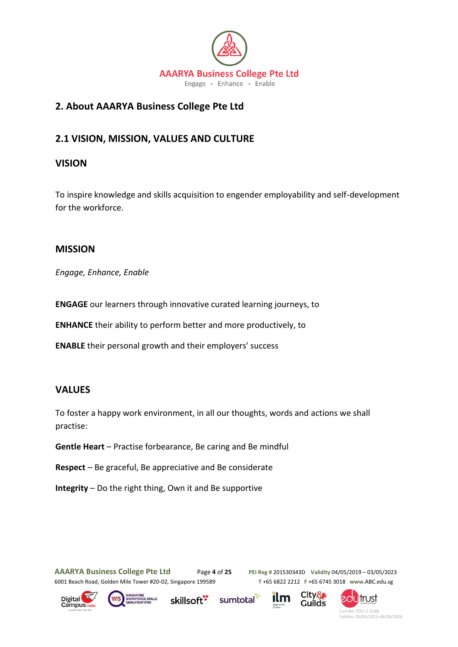

# **2. About AAARYA Business College Pte Ltd**

# **2.1 VISION, MISSION, VALUES AND CULTURE**

# **VISION**

To inspire knowledge and skills acquisition to engender employability and self-development for the workforce.

# **MISSION**

*Engage, Enhance, Enable*

**ENGAGE** our learners through innovative curated learning journeys, to

**ENHANCE** their ability to perform better and more productively, to

**ENABLE** their personal growth and their employers' success

## **VALUES**

To foster a happy work environment, in all our thoughts, words and actions we shall practise:

**Gentle Heart** – Practise forbearance, Be caring and Be mindful

**Respect** – Be graceful, Be appreciative and Be considerate

**Integrity** – Do the right thing, Own it and Be supportive

**AAARYA Business College Pte Ltd** Page **4** of **25 PEI Reg #** 201530343D **Validity** 04/05/2019 – 03/05/2023

6001 Beach Road, Golden Mile Tower #20-02, Singapore 199589 **T** +65 6822 2212 **F** +65 6745 3018 **www**.ABC.edu.sg







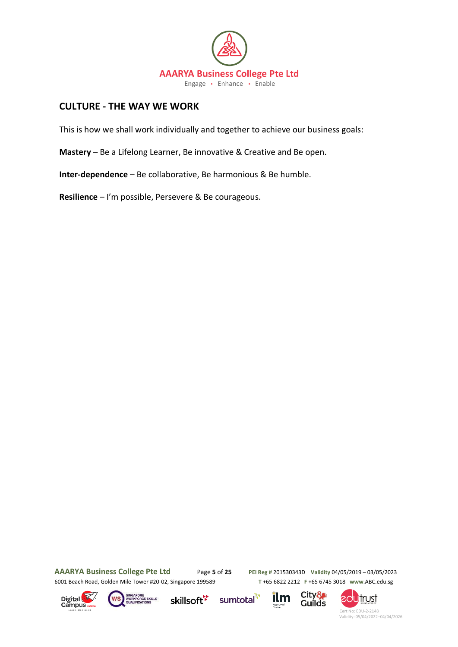

# **CULTURE - THE WAY WE WORK**

This is how we shall work individually and together to achieve our business goals:

**Mastery** – Be a Lifelong Learner, Be innovative & Creative and Be open.

**Inter-dependence** – Be collaborative, Be harmonious & Be humble.

**Resilience** – I'm possible, Persevere & Be courageous.

**AAARYA Business College Pte Ltd** Page **5** of **25 PEI Reg #** 201530343D **Validity** 04/05/2019 – 03/05/2023 6001 Beach Road, Golden Mile Tower #20-02, Singapore 199589 **T** +65 6822 2212 **F** +65 6745 3018 **www**.ABC.edu.sg





skillsoft\*





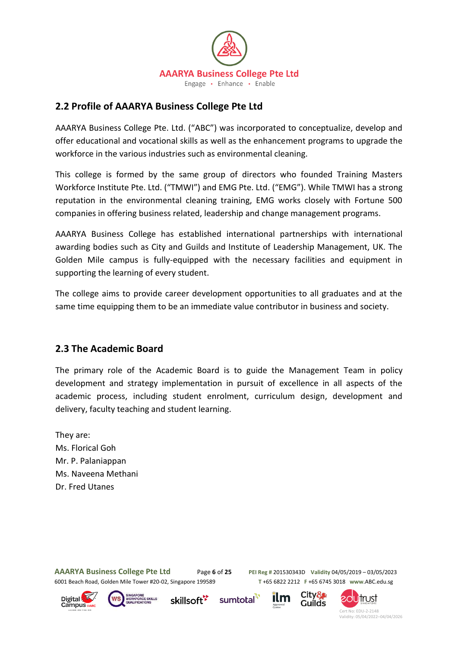

# **2.2 Profile of AAARYA Business College Pte Ltd**

AAARYA Business College Pte. Ltd. ("ABC") was incorporated to conceptualize, develop and offer educational and vocational skills as well as the enhancement programs to upgrade the workforce in the various industries such as environmental cleaning.

This college is formed by the same group of directors who founded Training Masters Workforce Institute Pte. Ltd. ("TMWI") and EMG Pte. Ltd. ("EMG"). While TMWI has a strong reputation in the environmental cleaning training, EMG works closely with Fortune 500 companies in offering business related, leadership and change management programs.

AAARYA Business College has established international partnerships with international awarding bodies such as City and Guilds and Institute of Leadership Management, UK. The Golden Mile campus is fully-equipped with the necessary facilities and equipment in supporting the learning of every student.

The college aims to provide career development opportunities to all graduates and at the same time equipping them to be an immediate value contributor in business and society.

# **2.3 The Academic Board**

The primary role of the Academic Board is to guide the Management Team in policy development and strategy implementation in pursuit of excellence in all aspects of the academic process, including student enrolment, curriculum design, development and delivery, faculty teaching and student learning.

They are: Ms. Florical Goh Mr. P. Palaniappan Ms. Naveena Methani Dr. Fred Utanes

**AAARYA Business College Pte Ltd** Page **6** of **25 PEI Reg #** 201530343D **Validity** 04/05/2019 – 03/05/2023 6001 Beach Road, Golden Mile Tower #20-02, Singapore 199589 **T** +65 6822 2212 **F** +65 6745 3018 **www**.ABC.edu.sg





skillsoft<sup>\*</sup>





Guilds

City&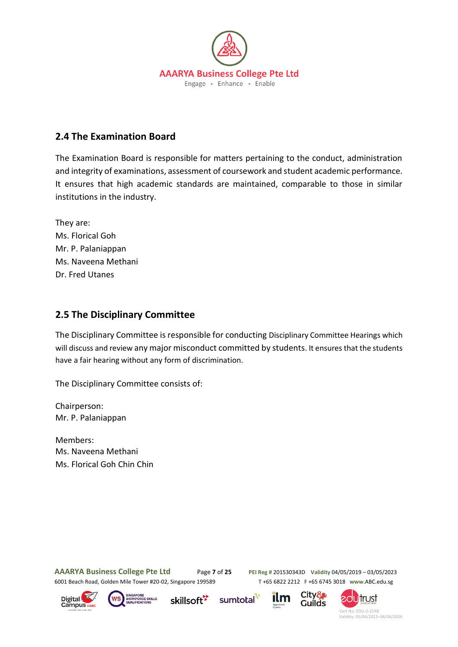

# **2.4 The Examination Board**

The Examination Board is responsible for matters pertaining to the conduct, administration and integrity of examinations, assessment of coursework and student academic performance. It ensures that high academic standards are maintained, comparable to those in similar institutions in the industry.

They are: Ms. Florical Goh Mr. P. Palaniappan Ms. Naveena Methani Dr. Fred Utanes

# **2.5 The Disciplinary Committee**

The Disciplinary Committee is responsible for conducting Disciplinary Committee Hearings which will discuss and review any major misconduct committed by students. It ensures that the students have a fair hearing without any form of discrimination.

The Disciplinary Committee consists of:

Chairperson: Mr. P. Palaniappan

Members: Ms. Naveena Methani Ms. Florical Goh Chin Chin

6001 Beach Road, Golden Mile Tower #20-02, Singapore 199589 **T** +65 6822 2212 **F** +65 6745 3018 **www**.ABC.edu.sg

**AAARYA Business College Pte Ltd** Page **7** of **25 PEI Reg #** 201530343D **Validity** 04/05/2019 – 03/05/2023





skillsoft<sup>\*</sup>





**SOUTrust**  Cert No: EDU-2-2148 Validity: 05/04/2022–04/04/2026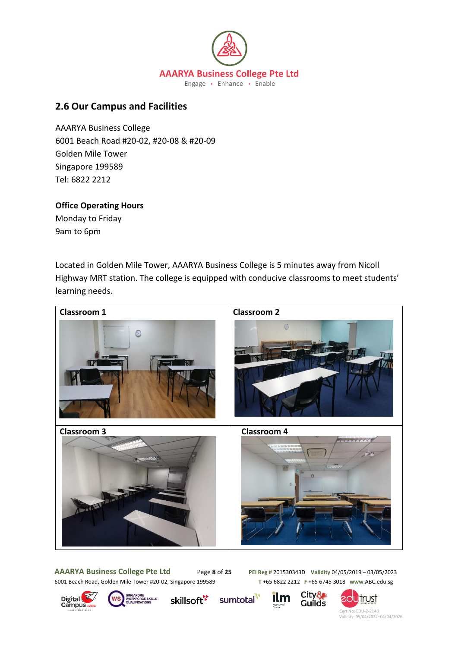

# **2.6 Our Campus and Facilities**

AAARYA Business College 6001 Beach Road #20-02, #20-08 & #20-09 Golden Mile Tower Singapore 199589 Tel: 6822 2212

## **Office Operating Hours**

Monday to Friday 9am to 6pm

Located in Golden Mile Tower, AAARYA Business College is 5 minutes away from Nicoll Highway MRT station. The college is equipped with conducive classrooms to meet students' learning needs.



**AAARYA Business College Pte Ltd** Page **8** of **25 PEI Reg #** 201530343D **Validity** 04/05/2019 – 03/05/2023 6001 Beach Road, Golden Mile Tower #20-02, Singapore 199589 **T** +65 6822 2212 **F** +65 6745 3018 **www**.ABC.edu.sg





skillsoft<sup>⊁</sup>

sumtotal<sup>-7</sup>



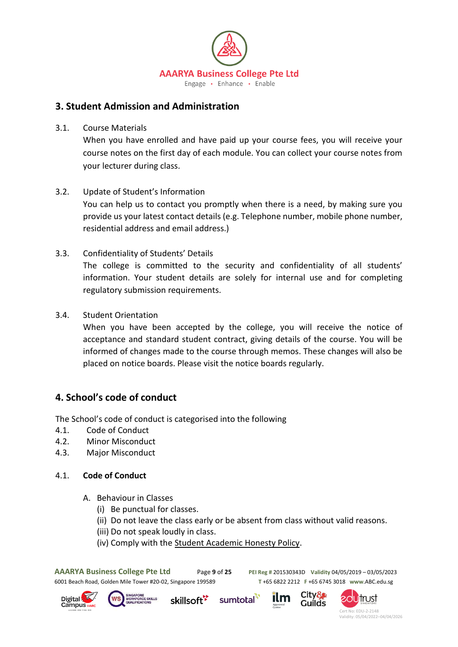

# **3. Student Admission and Administration**

3.1. Course Materials

When you have enrolled and have paid up your course fees, you will receive your course notes on the first day of each module. You can collect your course notes from your lecturer during class.

3.2. Update of Student's Information

You can help us to contact you promptly when there is a need, by making sure you provide us your latest contact details (e.g. Telephone number, mobile phone number, residential address and email address.)

- 3.3. Confidentiality of Students' Details The college is committed to the security and confidentiality of all students' information. Your student details are solely for internal use and for completing regulatory submission requirements.
- 3.4. Student Orientation

When you have been accepted by the college, you will receive the notice of acceptance and standard student contract, giving details of the course. You will be informed of changes made to the course through memos. These changes will also be placed on notice boards. Please visit the notice boards regularly.

# **4. School's code of conduct**

The School's code of conduct is categorised into the following

- 4.1. Code of Conduct
- 4.2. Minor Misconduct
- 4.3. Major Misconduct

## 4.1. **Code of Conduct**

- A. Behaviour in Classes
	- (i) Be punctual for classes.
	- (ii) Do not leave the class early or be absent from class without valid reasons.
	- (iii) Do not speak loudly in class.
	- (iv) Comply with the Student Academic Honesty Policy.

**AAARYA Business College Pte Ltd** Page **9** of **25 PEI Reg #** 201530343D **Validity** 04/05/2019 – 03/05/2023 6001 Beach Road, Golden Mile Tower #20-02, Singapore 199589 **T** +65 6822 2212 **F** +65 6745 3018 **www**.ABC.edu.sg





skillsoft<sup>\*</sup> sumtotal



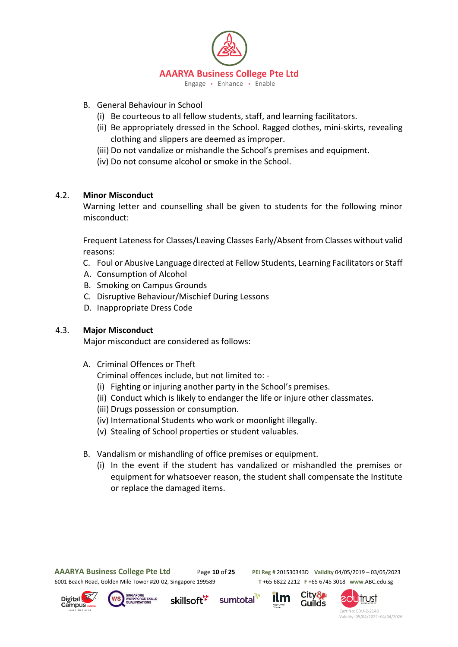

- B. General Behaviour in School
	- (i) Be courteous to all fellow students, staff, and learning facilitators.
	- (ii) Be appropriately dressed in the School. Ragged clothes, mini-skirts, revealing clothing and slippers are deemed as improper.
	- (iii) Do not vandalize or mishandle the School's premises and equipment.
	- (iv) Do not consume alcohol or smoke in the School.

## 4.2. **Minor Misconduct**

Warning letter and counselling shall be given to students for the following minor misconduct:

Frequent Lateness for Classes/Leaving Classes Early/Absent from Classes without valid reasons:

- C. Foul or Abusive Language directed at Fellow Students, Learning Facilitators or Staff
- A. Consumption of Alcohol
- B. Smoking on Campus Grounds
- C. Disruptive Behaviour/Mischief During Lessons
- D. Inappropriate Dress Code

#### 4.3. **Major Misconduct**

Major misconduct are considered as follows:

- A. Criminal Offences or Theft
	- Criminal offences include, but not limited to: -
	- (i) Fighting or injuring another party in the School's premises.
	- (ii) Conduct which is likely to endanger the life or injure other classmates.
	- (iii) Drugs possession or consumption.
	- (iv) International Students who work or moonlight illegally.
	- (v) Stealing of School properties or student valuables.
- B. Vandalism or mishandling of office premises or equipment.
	- (i) In the event if the student has vandalized or mishandled the premises or equipment for whatsoever reason, the student shall compensate the Institute or replace the damaged items.

sumtotal

**AAARYA Business College Pte Ltd** Page **10** of **25 PEI Reg #** 201530343D **Validity** 04/05/2019 – 03/05/2023 6001 Beach Road, Golden Mile Tower #20-02, Singapore 199589 **T** +65 6822 2212 **F** +65 6745 3018 **www**.ABC.edu.sg







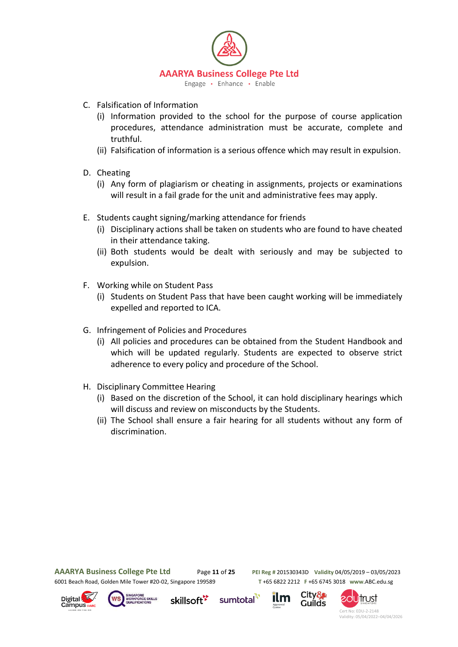

- C. Falsification of Information
	- (i) Information provided to the school for the purpose of course application procedures, attendance administration must be accurate, complete and truthful.
	- (ii) Falsification of information is a serious offence which may result in expulsion.
- D. Cheating
	- (i) Any form of plagiarism or cheating in assignments, projects or examinations will result in a fail grade for the unit and administrative fees may apply.
- E. Students caught signing/marking attendance for friends
	- (i) Disciplinary actions shall be taken on students who are found to have cheated in their attendance taking.
	- (ii) Both students would be dealt with seriously and may be subjected to expulsion.
- F. Working while on Student Pass
	- (i) Students on Student Pass that have been caught working will be immediately expelled and reported to ICA.
- G. Infringement of Policies and Procedures
	- (i) All policies and procedures can be obtained from the Student Handbook and which will be updated regularly. Students are expected to observe strict adherence to every policy and procedure of the School.
- H. Disciplinary Committee Hearing
	- (i) Based on the discretion of the School, it can hold disciplinary hearings which will discuss and review on misconducts by the Students.
	- (ii) The School shall ensure a fair hearing for all students without any form of discrimination.

**AAARYA Business College Pte Ltd** Page **11** of **25 PEI Reg #** 201530343D **Validity** 04/05/2019 – 03/05/2023 6001 Beach Road, Golden Mile Tower #20-02, Singapore 199589 **T** +65 6822 2212 **F** +65 6745 3018 **www**.ABC.edu.sg

City&

Guilds





skillsoft<sup>\*</sup>



sumtotal

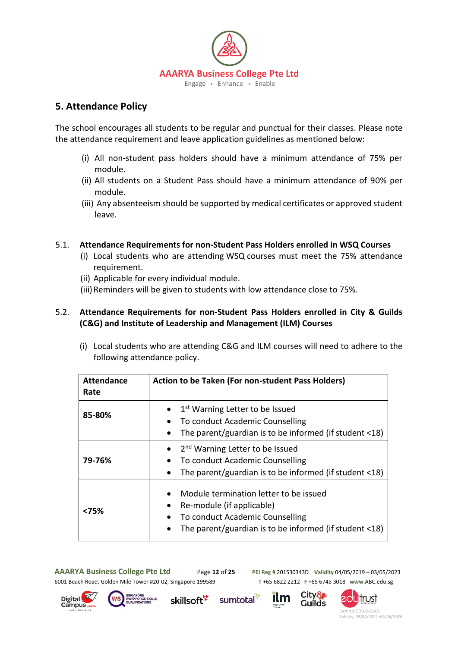

# **5. Attendance Policy**

The school encourages all students to be regular and punctual for their classes. Please note the attendance requirement and leave application guidelines as mentioned below:

- (i) All non-student pass holders should have a minimum attendance of 75% per module.
- (ii) All students on a Student Pass should have a minimum attendance of 90% per module.
- (iii) Any absenteeism should be supported by medical certificates or approved student leave.

#### 5.1. **Attendance Requirements for non-Student Pass Holders enrolled in WSQ Courses**

- (i) Local students who are attending WSQ courses must meet the 75% attendance requirement.
- (ii) Applicable for every individual module.
- (iii) Reminders will be given to students with low attendance close to 75%.

## 5.2. **Attendance Requirements for non-Student Pass Holders enrolled in City & Guilds (C&G) and Institute of Leadership and Management (ILM) Courses**

(i) Local students who are attending C&G and ILM courses will need to adhere to the following attendance policy.

| <b>Attendance</b><br>Rate | Action to be Taken (For non-student Pass Holders)                                                                                                                |
|---------------------------|------------------------------------------------------------------------------------------------------------------------------------------------------------------|
| 85-80%                    | 1 <sup>st</sup> Warning Letter to be Issued<br>To conduct Academic Counselling<br>The parent/guardian is to be informed (if student <18)                         |
| 79-76%                    | 2 <sup>nd</sup> Warning Letter to be Issued<br>To conduct Academic Counselling<br>The parent/guardian is to be informed (if student <18)                         |
| <75%                      | Module termination letter to be issued<br>Re-module (if applicable)<br>To conduct Academic Counselling<br>The parent/guardian is to be informed (if student <18) |

sumtotal<sup>"</sup>

**AAARYA Business College Pte Ltd** Page **12** of **25 PEI Reg #** 201530343D **Validity** 04/05/2019 – 03/05/2023 6001 Beach Road, Golden Mile Tower #20-02, Singapore 199589 **T** +65 6822 2212 **F** +65 6745 3018 **www**.ABC.edu.sg



skillsoft<sup>\*</sup>

City& Guilds

ilm

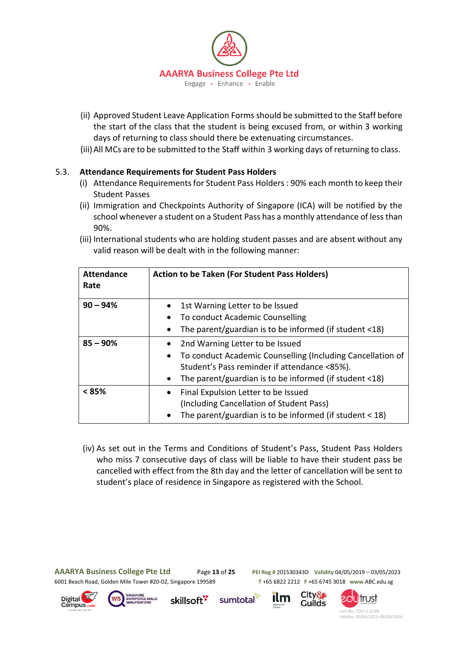

- (ii) Approved Student Leave Application Forms should be submitted to the Staff before the start of the class that the student is being excused from, or within 3 working days of returning to class should there be extenuating circumstances.
- (iii)All MCs are to be submitted to the Staff within 3 working days of returning to class.

## 5.3. **Attendance Requirements for Student Pass Holders**

- (i) Attendance Requirements for Student Pass Holders : 90% each month to keep their Student Passes
- (ii) Immigration and Checkpoints Authority of Singapore (ICA) will be notified by the school whenever a student on a Student Pass has a monthly attendance of less than 90%.
- (iii) International students who are holding student passes and are absent without any valid reason will be dealt with in the following manner:

| <b>Attendance</b><br>Rate | <b>Action to be Taken (For Student Pass Holders)</b>                                                                                                                                                                                   |
|---------------------------|----------------------------------------------------------------------------------------------------------------------------------------------------------------------------------------------------------------------------------------|
| $90 - 94%$                | 1st Warning Letter to be Issued<br>$\bullet$<br>To conduct Academic Counselling<br>$\bullet$<br>The parent/guardian is to be informed (if student <18)                                                                                 |
| $85 - 90%$                | 2nd Warning Letter to be Issued<br>٠<br>To conduct Academic Counselling (Including Cancellation of<br>$\bullet$<br>Student's Pass reminder if attendance <85%).<br>The parent/guardian is to be informed (if student <18)<br>$\bullet$ |
| $< 85\%$                  | Final Expulsion Letter to be Issued<br>$\bullet$<br>(Including Cancellation of Student Pass)<br>The parent/guardian is to be informed (if student $<$ 18)<br>$\bullet$                                                                 |

(iv) As set out in the Terms and Conditions of Student's Pass, Student Pass Holders who miss 7 consecutive days of class will be liable to have their student pass be cancelled with effect from the 8th day and the letter of cancellation will be sent to student's place of residence in Singapore as registered with the School.

**AAARYA Business College Pte Ltd** Page **13** of **25 PEI Reg #** 201530343D **Validity** 04/05/2019 – 03/05/2023 6001 Beach Road, Golden Mile Tower #20-02, Singapore 199589 **T** +65 6822 2212 **F** +65 6745 3018 **www**.ABC.edu.sg

City&

**Guilds** 







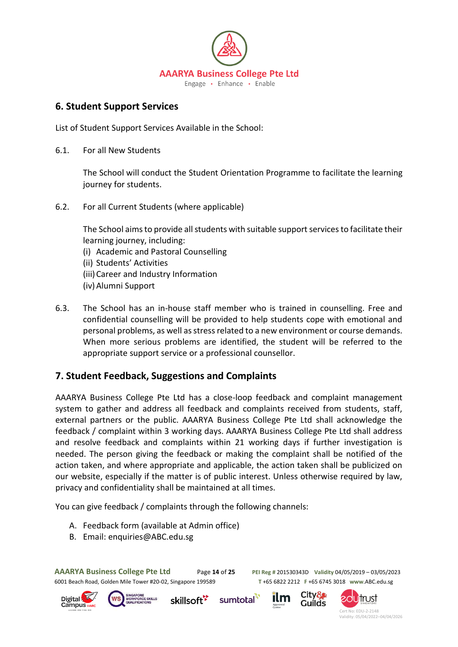

# **6. Student Support Services**

List of Student Support Services Available in the School:

6.1. For all New Students

The School will conduct the Student Orientation Programme to facilitate the learning journey for students.

6.2. For all Current Students (where applicable)

The School aims to provide all students with suitable support services to facilitate their learning journey, including:

- (i) Academic and Pastoral Counselling
- (ii) Students' Activities
- (iii)Career and Industry Information
- (iv)Alumni Support
- 6.3. The School has an in-house staff member who is trained in counselling. Free and confidential counselling will be provided to help students cope with emotional and personal problems, as well as stress related to a new environment or course demands. When more serious problems are identified, the student will be referred to the appropriate support service or a professional counsellor.

# **7. Student Feedback, Suggestions and Complaints**

AAARYA Business College Pte Ltd has a close-loop feedback and complaint management system to gather and address all feedback and complaints received from students, staff, external partners or the public. AAARYA Business College Pte Ltd shall acknowledge the feedback / complaint within 3 working days. AAARYA Business College Pte Ltd shall address and resolve feedback and complaints within 21 working days if further investigation is needed. The person giving the feedback or making the complaint shall be notified of the action taken, and where appropriate and applicable, the action taken shall be publicized on our website, especially if the matter is of public interest. Unless otherwise required by law, privacy and confidentiality shall be maintained at all times.

sumtotal

You can give feedback / complaints through the following channels:

- A. Feedback form (available at Admin office)
- B. Email: enquiries@ABC.edu.sg

**AAARYA Business College Pte Ltd** Page **14** of **25 PEI Reg #** 201530343D **Validity** 04/05/2019 – 03/05/2023 6001 Beach Road, Golden Mile Tower #20-02, Singapore 199589 **T** +65 6822 2212 **F** +65 6745 3018 **www**.ABC.edu.sg







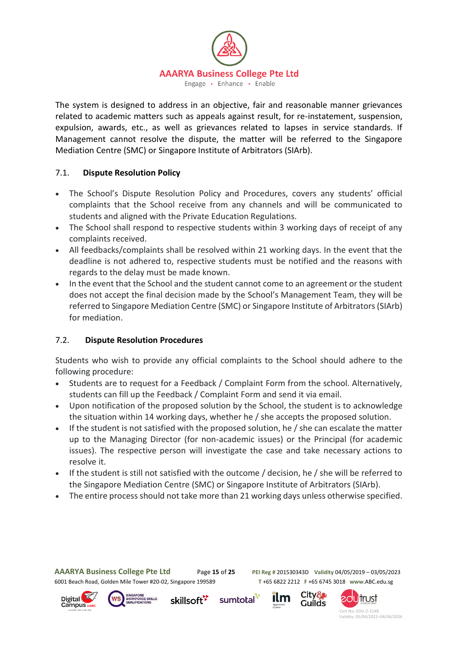

The system is designed to address in an objective, fair and reasonable manner grievances related to academic matters such as appeals against result, for re-instatement, suspension, expulsion, awards, etc., as well as grievances related to lapses in service standards. If Management cannot resolve the dispute, the matter will be referred to the Singapore Mediation Centre (SMC) or Singapore Institute of Arbitrators (SIArb).

## 7.1. **Dispute Resolution Policy**

- The School's Dispute Resolution Policy and Procedures, covers any students' official complaints that the School receive from any channels and will be communicated to students and aligned with the Private Education Regulations.
- The School shall respond to respective students within 3 working days of receipt of any complaints received.
- All feedbacks/complaints shall be resolved within 21 working days. In the event that the deadline is not adhered to, respective students must be notified and the reasons with regards to the delay must be made known.
- In the event that the School and the student cannot come to an agreement or the student does not accept the final decision made by the School's Management Team, they will be referred to Singapore Mediation Centre (SMC) or Singapore Institute of Arbitrators (SIArb) for mediation.

# 7.2. **Dispute Resolution Procedures**

Students who wish to provide any official complaints to the School should adhere to the following procedure:

- Students are to request for a Feedback / Complaint Form from the school. Alternatively, students can fill up the Feedback / Complaint Form and send it via email.
- Upon notification of the proposed solution by the School, the student is to acknowledge the situation within 14 working days, whether he / she accepts the proposed solution.
- If the student is not satisfied with the proposed solution, he / she can escalate the matter up to the Managing Director (for non-academic issues) or the Principal (for academic issues). The respective person will investigate the case and take necessary actions to resolve it.
- If the student is still not satisfied with the outcome / decision, he / she will be referred to the Singapore Mediation Centre (SMC) or Singapore Institute of Arbitrators (SIArb).
- The entire process should not take more than 21 working days unless otherwise specified.

sumtotal

**AAARYA Business College Pte Ltd** Page **15** of **25 PEI Reg #** 201530343D **Validity** 04/05/2019 – 03/05/2023 6001 Beach Road, Golden Mile Tower #20-02, Singapore 199589 **T** +65 6822 2212 **F** +65 6745 3018 **www**.ABC.edu.sg

City&

**Guilds** 







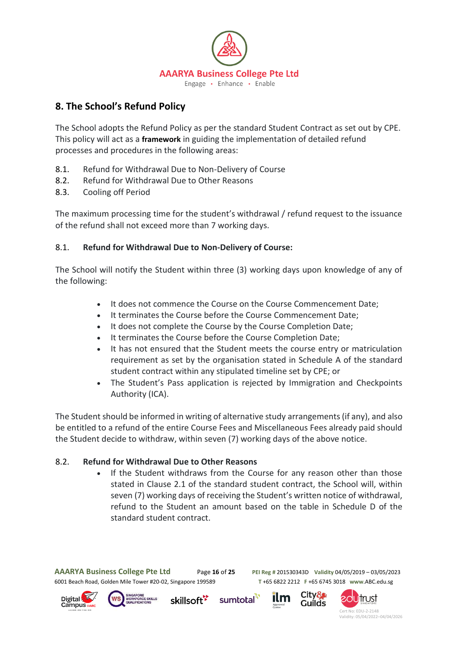

# **8. The School's Refund Policy**

The School adopts the Refund Policy as per the standard Student Contract as set out by CPE. This policy will act as a **framework** in guiding the implementation of detailed refund processes and procedures in the following areas:

- 8.1. Refund for Withdrawal Due to Non-Delivery of Course
- 8.2. Refund for Withdrawal Due to Other Reasons
- 8.3. Cooling off Period

The maximum processing time for the student's withdrawal / refund request to the issuance of the refund shall not exceed more than 7 working days.

## 8.1. **Refund for Withdrawal Due to Non-Delivery of Course:**

The School will notify the Student within three (3) working days upon knowledge of any of the following:

- It does not commence the Course on the Course Commencement Date;
- It terminates the Course before the Course Commencement Date;
- It does not complete the Course by the Course Completion Date;
- It terminates the Course before the Course Completion Date;
- It has not ensured that the Student meets the course entry or matriculation requirement as set by the organisation stated in Schedule A of the standard student contract within any stipulated timeline set by CPE; or
- The Student's Pass application is rejected by Immigration and Checkpoints Authority (ICA).

The Student should be informed in writing of alternative study arrangements (if any), and also be entitled to a refund of the entire Course Fees and Miscellaneous Fees already paid should the Student decide to withdraw, within seven (7) working days of the above notice.

## 8.2. **Refund for Withdrawal Due to Other Reasons**

• If the Student withdraws from the Course for any reason other than those stated in Clause 2.1 of the standard student contract, the School will, within seven (7) working days of receiving the Student's written notice of withdrawal, refund to the Student an amount based on the table in Schedule D of the standard student contract.

sumtotal

**AAARYA Business College Pte Ltd** Page **16** of **25 PEI Reg #** 201530343D **Validity** 04/05/2019 – 03/05/2023 6001 Beach Road, Golden Mile Tower #20-02, Singapore 199589 **T** +65 6822 2212 **F** +65 6745 3018 **www**.ABC.edu.sg







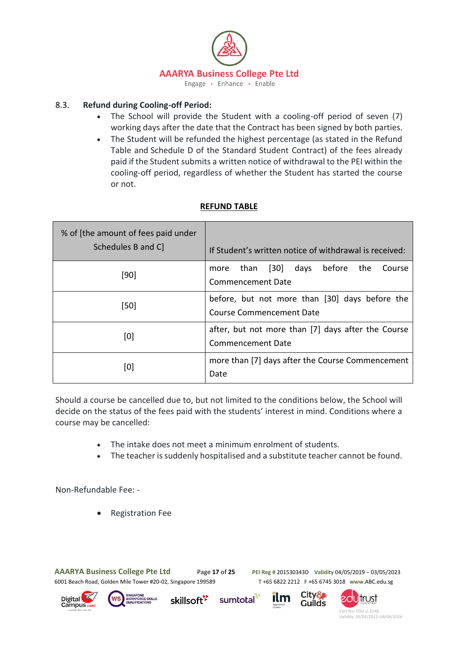

## 8.3. **Refund during Cooling-off Period:**

- The School will provide the Student with a cooling-off period of seven (7) working days after the date that the Contract has been signed by both parties.
- The Student will be refunded the highest percentage (as stated in the Refund Table and Schedule D of the Standard Student Contract) of the fees already paid if the Student submits a written notice of withdrawal to the PEI within the cooling-off period, regardless of whether the Student has started the course or not.

## **REFUND TABLE**

| % of [the amount of fees paid under<br>Schedules B and C | If Student's written notice of withdrawal is received:                                          |
|----------------------------------------------------------|-------------------------------------------------------------------------------------------------|
| [90]                                                     | before<br>$\vert 30 \vert$<br>the<br>than<br>days<br>Course<br>more<br><b>Commencement Date</b> |
| [50]                                                     | before, but not more than [30] days before the<br>Course Commencement Date                      |
| [0]                                                      | after, but not more than [7] days after the Course<br>Commencement Date                         |
| [0]                                                      | more than [7] days after the Course Commencement<br>Date                                        |

Should a course be cancelled due to, but not limited to the conditions below, the School will decide on the status of the fees paid with the students' interest in mind. Conditions where a course may be cancelled:

- The intake does not meet a minimum enrolment of students.
- The teacher is suddenly hospitalised and a substitute teacher cannot be found.

sumtotal

Non-Refundable Fee: -

• Registration Fee

**AAARYA Business College Pte Ltd** Page **17** of **25 PEI Reg #** 201530343D **Validity** 04/05/2019 – 03/05/2023

6001 Beach Road, Golden Mile Tower #20-02, Singapore 199589 **T** +65 6822 2212 **F** +65 6745 3018 **www**.ABC.edu.sg







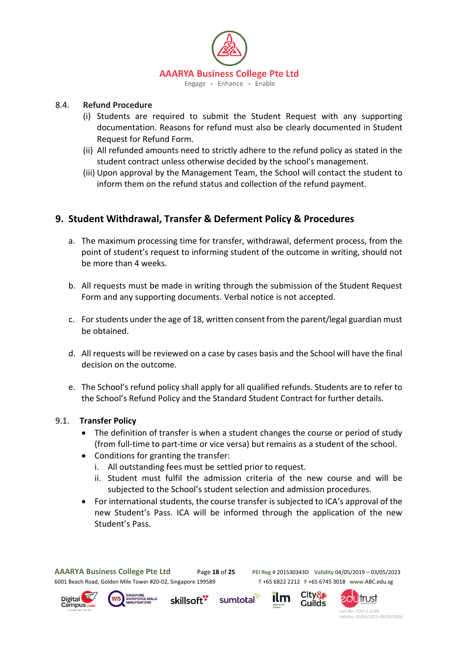

#### 8.4. **Refund Procedure**

- (i) Students are required to submit the Student Request with any supporting documentation. Reasons for refund must also be clearly documented in Student Request for Refund Form.
- (ii) All refunded amounts need to strictly adhere to the refund policy as stated in the student contract unless otherwise decided by the school's management.
- (iii) Upon approval by the Management Team, the School will contact the student to inform them on the refund status and collection of the refund payment.

# **9. Student Withdrawal, Transfer & Deferment Policy & Procedures**

- a. The maximum processing time for transfer, withdrawal, deferment process, from the point of student's request to informing student of the outcome in writing, should not be more than 4 weeks.
- b. All requests must be made in writing through the submission of the Student Request Form and any supporting documents. Verbal notice is not accepted.
- c. For students under the age of 18, written consent from the parent/legal guardian must be obtained.
- d. All requests will be reviewed on a case by cases basis and the School will have the final decision on the outcome.
- e. The School's refund policy shall apply for all qualified refunds. Students are to refer to the School's Refund Policy and the Standard Student Contract for further details.

#### 9.1. **Transfer Policy**

- The definition of transfer is when a student changes the course or period of study (from full-time to part-time or vice versa) but remains as a student of the school.
- Conditions for granting the transfer:
	- i. All outstanding fees must be settled prior to request.
	- ii. Student must fulfil the admission criteria of the new course and will be subjected to the School's student selection and admission procedures.
- For international students, the course transfer is subjected to ICA's approval of the new Student's Pass. ICA will be informed through the application of the new Student's Pass.

sumtotal







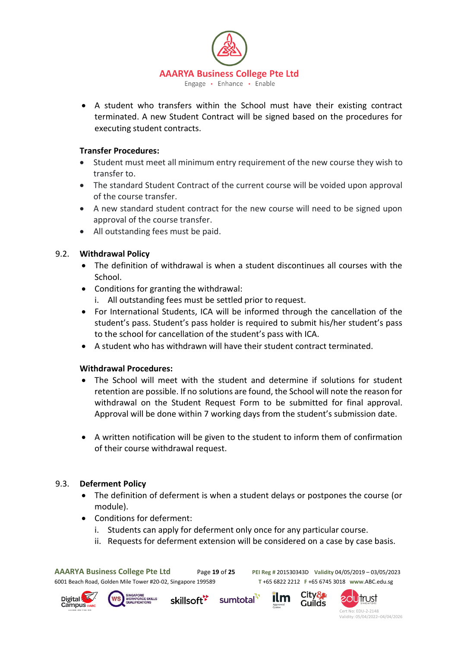

• A student who transfers within the School must have their existing contract terminated. A new Student Contract will be signed based on the procedures for executing student contracts.

#### **Transfer Procedures:**

- Student must meet all minimum entry requirement of the new course they wish to transfer to.
- The standard Student Contract of the current course will be voided upon approval of the course transfer.
- A new standard student contract for the new course will need to be signed upon approval of the course transfer.
- All outstanding fees must be paid.

## 9.2. **Withdrawal Policy**

- The definition of withdrawal is when a student discontinues all courses with the School.
- Conditions for granting the withdrawal:
	- i. All outstanding fees must be settled prior to request.
- For International Students, ICA will be informed through the cancellation of the student's pass. Student's pass holder is required to submit his/her student's pass to the school for cancellation of the student's pass with ICA.
- A student who has withdrawn will have their student contract terminated.

## **Withdrawal Procedures:**

- The School will meet with the student and determine if solutions for student retention are possible. If no solutions are found, the School will note the reason for withdrawal on the Student Request Form to be submitted for final approval. Approval will be done within 7 working days from the student's submission date.
- A written notification will be given to the student to inform them of confirmation of their course withdrawal request.

## 9.3. **Deferment Policy**

- The definition of deferment is when a student delays or postpones the course (or module).
- Conditions for deferment:
	- i. Students can apply for deferment only once for any particular course.
	- ii. Requests for deferment extension will be considered on a case by case basis.

**AAARYA Business College Pte Ltd** Page **19** of **25 PEI Reg #** 201530343D **Validity** 04/05/2019 – 03/05/2023

6001 Beach Road, Golden Mile Tower #20-02, Singapore 199589 **T** +65 6822 2212 **F** +65 6745 3018 **www**.ABC.edu.sg





sumtotal skillsoft<sup>\*</sup>



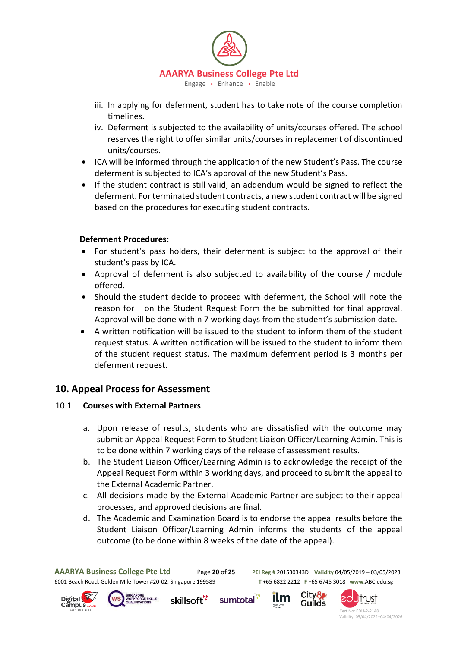

- iii. In applying for deferment, student has to take note of the course completion timelines.
- iv. Deferment is subjected to the availability of units/courses offered. The school reserves the right to offer similar units/courses in replacement of discontinued units/courses.
- ICA will be informed through the application of the new Student's Pass. The course deferment is subjected to ICA's approval of the new Student's Pass.
- If the student contract is still valid, an addendum would be signed to reflect the deferment. For terminated student contracts, a new student contract will be signed based on the procedures for executing student contracts.

## **Deferment Procedures:**

- For student's pass holders, their deferment is subject to the approval of their student's pass by ICA.
- Approval of deferment is also subjected to availability of the course / module offered.
- Should the student decide to proceed with deferment, the School will note the reason for on the Student Request Form the be submitted for final approval. Approval will be done within 7 working days from the student's submission date.
- A written notification will be issued to the student to inform them of the student request status. A written notification will be issued to the student to inform them of the student request status. The maximum deferment period is 3 months per deferment request.

# **10. Appeal Process for Assessment**

## 10.1. **Courses with External Partners**

- a. Upon release of results, students who are dissatisfied with the outcome may submit an Appeal Request Form to Student Liaison Officer/Learning Admin. This is to be done within 7 working days of the release of assessment results.
- b. The Student Liaison Officer/Learning Admin is to acknowledge the receipt of the Appeal Request Form within 3 working days, and proceed to submit the appeal to the External Academic Partner.
- c. All decisions made by the External Academic Partner are subject to their appeal processes, and approved decisions are final.
- d. The Academic and Examination Board is to endorse the appeal results before the Student Liaison Officer/Learning Admin informs the students of the appeal outcome (to be done within 8 weeks of the date of the appeal).

**AAARYA Business College Pte Ltd** Page **20** of **25 PEI Reg #** 201530343D **Validity** 04/05/2019 – 03/05/2023 6001 Beach Road, Golden Mile Tower #20-02, Singapore 199589 **T** +65 6822 2212 **F** +65 6745 3018 **www**.ABC.edu.sg





sumtotal skillsoft<sup>\*</sup>



ilm

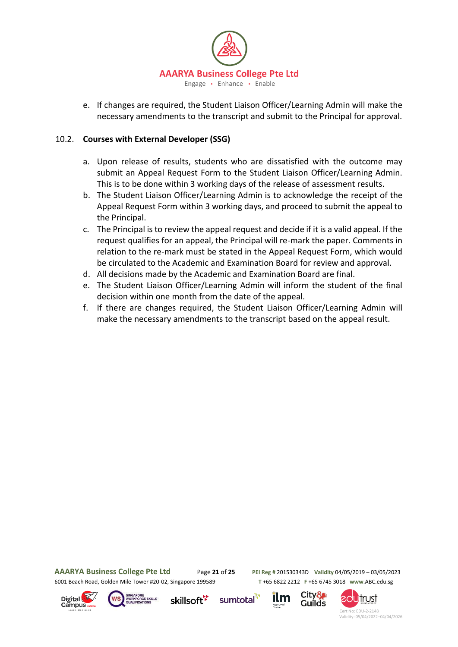

e. If changes are required, the Student Liaison Officer/Learning Admin will make the necessary amendments to the transcript and submit to the Principal for approval.

## 10.2. **Courses with External Developer (SSG)**

- a. Upon release of results, students who are dissatisfied with the outcome may submit an Appeal Request Form to the Student Liaison Officer/Learning Admin. This is to be done within 3 working days of the release of assessment results.
- b. The Student Liaison Officer/Learning Admin is to acknowledge the receipt of the Appeal Request Form within 3 working days, and proceed to submit the appeal to the Principal.
- c. The Principal is to review the appeal request and decide if it is a valid appeal. If the request qualifies for an appeal, the Principal will re-mark the paper. Comments in relation to the re-mark must be stated in the Appeal Request Form, which would be circulated to the Academic and Examination Board for review and approval.
- d. All decisions made by the Academic and Examination Board are final.
- e. The Student Liaison Officer/Learning Admin will inform the student of the final decision within one month from the date of the appeal.
- f. If there are changes required, the Student Liaison Officer/Learning Admin will make the necessary amendments to the transcript based on the appeal result.

6001 Beach Road, Golden Mile Tower #20-02, Singapore 199589 **T** +65 6822 2212 **F** +65 6745 3018 **www**.ABC.edu.sg

**AAARYA Business College Pte Ltd** Page **21** of **25 PEI Reg #** 201530343D **Validity** 04/05/2019 – 03/05/2023





skillsoft<sup>\*</sup>





**20Utrust**  Cert No: EDU-2-2148 Validity: 05/04/2022–04/04/2026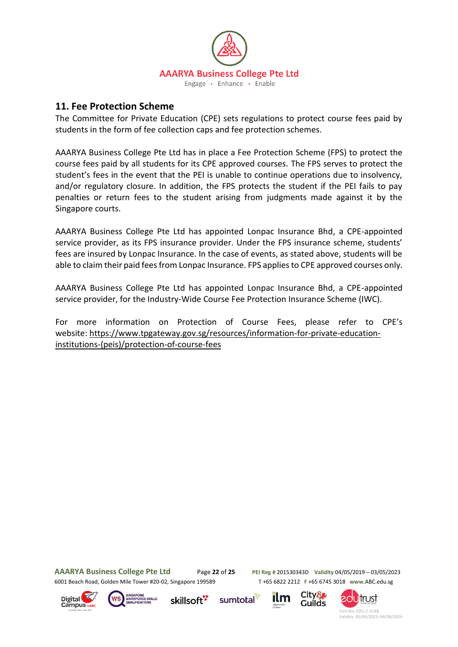

## **11. Fee Protection Scheme**

The Committee for Private Education (CPE) sets regulations to protect course fees paid by students in the form of fee collection caps and fee protection schemes.

AAARYA Business College Pte Ltd has in place a Fee Protection Scheme (FPS) to protect the course fees paid by all students for its CPE approved courses. The FPS serves to protect the student's fees in the event that the PEI is unable to continue operations due to insolvency, and/or regulatory closure. In addition, the FPS protects the student if the PEI fails to pay penalties or return fees to the student arising from judgments made against it by the Singapore courts.

AAARYA Business College Pte Ltd has appointed Lonpac Insurance Bhd, a CPE-appointed service provider, as its FPS insurance provider. Under the FPS insurance scheme, students' fees are insured by Lonpac Insurance. In the case of events, as stated above, students will be able to claim their paid fees from Lonpac Insurance. FPS applies to CPE approved courses only.

AAARYA Business College Pte Ltd has appointed Lonpac Insurance Bhd, a CPE-appointed service provider, for the Industry-Wide Course Fee Protection Insurance Scheme (IWC).

For more information on Protection of Course Fees, please refer to CPE's website: [https://www.tpgateway.gov.sg/resources/information-for-private-education](https://www.tpgateway.gov.sg/resources/information-for-private-education-institutions-(peis)/protection-of-course-fees)[institutions-\(peis\)/protection-of-course-fees](https://www.tpgateway.gov.sg/resources/information-for-private-education-institutions-(peis)/protection-of-course-fees)

6001 Beach Road, Golden Mile Tower #20-02, Singapore 199589 **T** +65 6822 2212 **F** +65 6745 3018 **www**.ABC.edu.sg

**AAARYA Business College Pte Ltd** Page **22** of **25 PEI Reg #** 201530343D **Validity** 04/05/2019 – 03/05/2023

City&

**Guilds** 





skillsoft<sup>\*</sup>



sumtotal

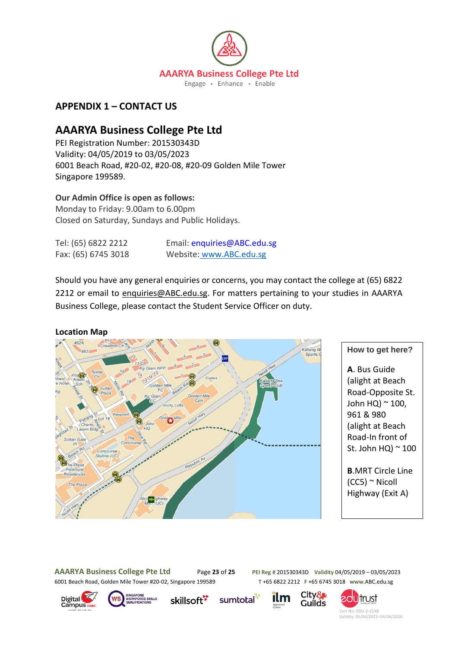

# **APPENDIX 1 – CONTACT US**

# **AAARYA Business College Pte Ltd**

PEI Registration Number: 201530343D Validity: 04/05/2019 to 03/05/2023 6001 Beach Road, #20-02, #20-08, #20-09 Golden Mile Tower Singapore 199589.

## **Our Admin Office is open as follows:**

Monday to Friday: 9.00am to 6.00pm Closed on Saturday, Sundays and Public Holidays.

Tel: (65) 6822 2212 Email: enquiries@ABC.edu.sg Fax: (65) 6745 3018 Website: [www.ABC.edu.sg](http://www.abc.edu.sg/)

Should you have any general enquiries or concerns, you may contact the college at (65) 6822 2212 or email to [enquiries@ABC.edu.sg.](mailto:enquiries@ABC.edu.sg) For matters pertaining to your studies in AAARYA Business College, please contact the Student Service Officer on duty.



#### **How to get here?**

**A**. Bus Guide (alight at Beach Road-Opposite St. John HQ) ~ 100, 961 & 980 (alight at Beach Road-In front of St. John HQ $)$   $\sim$  100

**B**.MRT Circle Line  $(CC5)$   $\sim$  Nicoll Highway (Exit A)

**AAARYA Business College Pte Ltd** Page **23** of **25 PEI Reg #** 201530343D **Validity** 04/05/2019 – 03/05/2023

6001 Beach Road, Golden Mile Tower #20-02, Singapore 199589 **T** +65 6822 2212 **F** +65 6745 3018 **www**.ABC.edu.sg





skillsoft<sup>\*</sup>

sumtotal<sup>1</sup> ilm



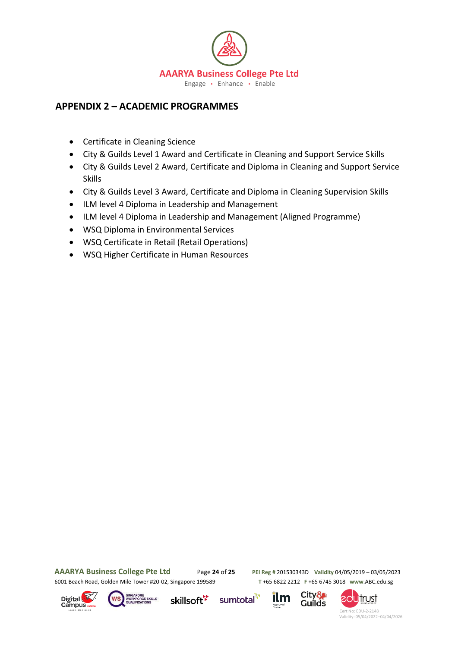

# **APPENDIX 2 – ACADEMIC PROGRAMMES**

- Certificate in Cleaning Science
- City & Guilds Level 1 Award and Certificate in Cleaning and Support Service Skills
- City & Guilds Level 2 Award, Certificate and Diploma in Cleaning and Support Service Skills
- City & Guilds Level 3 Award, Certificate and Diploma in Cleaning Supervision Skills
- ILM level 4 Diploma in Leadership and Management
- ILM level 4 Diploma in Leadership and Management (Aligned Programme)
- WSQ Diploma in Environmental Services
- WSQ Certificate in Retail (Retail Operations)
- WSQ Higher Certificate in Human Resources

**AAARYA Business College Pte Ltd** Page **24** of **25 PEI Reg #** 201530343D **Validity** 04/05/2019 – 03/05/2023 6001 Beach Road, Golden Mile Tower #20-02, Singapore 199589 **T** +65 6822 2212 **F** +65 6745 3018 **www**.ABC.edu.sg





skillsoft<sup>\*</sup>





**20Utrust**  Cert No: EDU-2-2148 Validity: 05/04/2022–04/04/2026